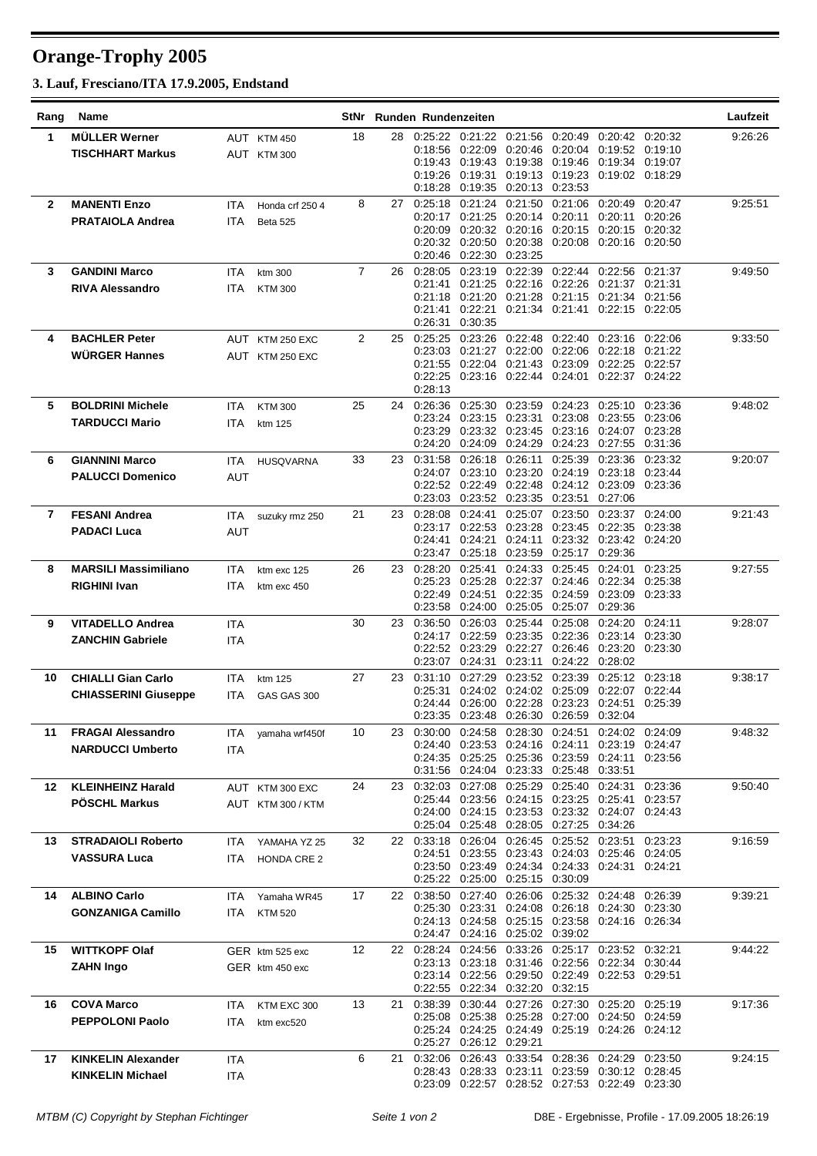## **Orange-Trophy 2005**

**3. Lauf, Fresciano/ITA 17.9.2005, Endstand**

| Rang         | Name                        |            |                    | StNr           |     | Runden Rundenzeiten |                            |                                             |                         |                                                                                                              |                    | Laufzeit |
|--------------|-----------------------------|------------|--------------------|----------------|-----|---------------------|----------------------------|---------------------------------------------|-------------------------|--------------------------------------------------------------------------------------------------------------|--------------------|----------|
| 1            | <b>MÜLLER Werner</b>        |            | AUT KTM 450        | 18             | 28  |                     |                            |                                             |                         | 0:25:22  0:21:22  0:21:56  0:20:49  0:20:42  0:20:32                                                         |                    | 9:26:26  |
|              | <b>TISCHHART Markus</b>     |            | AUT KTM 300        |                |     |                     |                            |                                             |                         | 0.18.56  0.22.09  0.20.46  0.20.04  0.19.52  0.19.10                                                         |                    |          |
|              |                             |            |                    |                |     | 0.19.26             | 0.19.31                    |                                             | 0:19:13 0:19:23         | 0.19:43  0.19:43  0.19:38  0.19:46  0.19:34  0.19:07<br>0:19:02 0:18:29                                      |                    |          |
|              |                             |            |                    |                |     | 0:18:28             | 0:19:35                    | 0:20:13 0:23:53                             |                         |                                                                                                              |                    |          |
| $\mathbf{2}$ | <b>MANENTI Enzo</b>         | <b>ITA</b> | Honda crf 250 4    | 8              | 27  | 0:25:18             | 0:21:24                    | 0:21:50                                     | 0.21:06                 | 0.20:49                                                                                                      | 0.20:47            | 9:25:51  |
|              | <b>PRATAIOLA Andrea</b>     | ITA        | <b>Beta 525</b>    |                |     |                     | 0:20:17 0:21:25            | 0:20:14 0:20:11                             |                         | 0:20:11 0:20:26                                                                                              |                    |          |
|              |                             |            |                    |                |     | 0:20:09             |                            |                                             |                         | 0:20:32 0:20:16 0:20:15 0:20:15 0:20:32                                                                      |                    |          |
|              |                             |            |                    |                |     | 0:20:32             |                            | 0:20:50 0:20:38 0:20:08                     |                         | 0:20:16 0:20:50                                                                                              |                    |          |
|              |                             |            |                    |                |     |                     | 0.20:46 0.22:30 0.23:25    |                                             |                         |                                                                                                              |                    |          |
| 3            | <b>GANDINI Marco</b>        | <b>ITA</b> | ktm 300            | $\overline{7}$ | 26  | 0:28:05             | 0:23:19                    | 0:22:39                                     | 0:22:44                 | 0:22:56 0:21:37                                                                                              |                    | 9:49:50  |
|              | <b>RIVA Alessandro</b>      | ITA        | <b>KTM300</b>      |                |     | 0.21.41             | 0:21:25                    | 0:22:16 0:22:26                             |                         | 0:21:37<br>0:21:18  0:21:20  0:21:28  0:21:15  0:21:34  0:21:56                                              | 0:21:31            |          |
|              |                             |            |                    |                |     | 0.21:41             | 0:22:21                    |                                             | 0:21:34 0:21:41         | $0:22:15$ $0:22:05$                                                                                          |                    |          |
|              |                             |            |                    |                |     | 0.26:31             | 0:30:35                    |                                             |                         |                                                                                                              |                    |          |
| 4            | <b>BACHLER Peter</b>        |            | AUT KTM 250 EXC    | $\overline{2}$ | 25  | 0:25:25             | 0:23:26                    | 0:22:48                                     | 0.22:40                 | 0:23:16 0:22:06                                                                                              |                    | 9:33:50  |
|              | <b>WÜRGER Hannes</b>        |            | AUT KTM 250 EXC    |                |     | 0.23:03             |                            | 0:21:27 0:22:00 0:22:06 0:22:18             |                         |                                                                                                              | 0.21.22            |          |
|              |                             |            |                    |                |     |                     |                            |                                             |                         | 0:21:55  0:22:04  0:21:43  0:23:09  0:22:25  0:22:57                                                         |                    |          |
|              |                             |            |                    |                |     | 0.28:13             |                            |                                             |                         | 0:22:25  0:23:16  0:22:44  0:24:01  0:22:37  0:24:22                                                         |                    |          |
| 5            | <b>BOLDRINI Michele</b>     |            |                    | 25             | 24  | 0.26.36             | 0:25:30                    |                                             | 0:23:59 0:24:23         | 0.25:10                                                                                                      | 0:23:36            | 9:48:02  |
|              |                             | ITA.       | <b>KTM300</b>      |                |     |                     |                            |                                             |                         | 0.23:24  0.23:15  0.23:31  0.23:08  0.23:55  0.23:06                                                         |                    |          |
|              | <b>TARDUCCI Mario</b>       | <b>ITA</b> | ktm 125            |                |     | 0.23:29             |                            | 0:23:32 0:23:45 0:23:16                     |                         | 0:24:07                                                                                                      | 0:23:28            |          |
|              |                             |            |                    |                |     |                     |                            | 0.24:20 0.24:09 0.24:29 0.24:23             |                         | 0:27:55                                                                                                      | 0:31:36            |          |
| 6            | <b>GIANNINI Marco</b>       | ITA        | <b>HUSQVARNA</b>   | 33             | 23. | 0:31:58             | 0:26:18                    | 0:26:11                                     | 0.25:39                 | 0.23.36                                                                                                      | 0:23:32            | 9:20:07  |
|              | <b>PALUCCI Domenico</b>     | <b>AUT</b> |                    |                |     | 0:24:07             | 0:23:10                    | 0:23:20                                     | 0.24:19                 | 0:23:18                                                                                                      | 0.23.44            |          |
|              |                             |            |                    |                |     |                     |                            |                                             |                         | 0.22:52 0.22:49 0.22:48 0.24:12 0.23:09 0.23:36                                                              |                    |          |
|              |                             |            |                    |                |     | 0.23:03             |                            | 0:23:52 0:23:35 0:23:51                     |                         | 0.27:06                                                                                                      |                    |          |
| 7            | <b>FESANI Andrea</b>        | <b>ITA</b> | suzuky rmz 250     | 21             | 23. | 0:28:08             | 0:24:41                    | 0.23:17 0.22:53 0.23:28 0.23:45 0.22:35     | 0:25:07 0:23:50         | 0.23:37                                                                                                      | 0:24:00<br>0:23:38 | 9:21:43  |
|              | <b>PADACI Luca</b>          | AUT        |                    |                |     | 0.24:41             | 0.24:21                    | 0.24:11                                     | 0:23:32                 | 0:23:42 0:24:20                                                                                              |                    |          |
|              |                             |            |                    |                |     |                     | 0:23:47 0:25:18            | 0:23:59 0:25:17                             |                         | 0:29:36                                                                                                      |                    |          |
| 8            | <b>MARSILI Massimiliano</b> | ITA        | ktm exc 125        | 26             | 23  | 0:28:20             | 0:25:41                    | 0.24.33                                     | 0.25:45                 | 0:24:01                                                                                                      | 0:23:25            | 9:27:55  |
|              | <b>RIGHINI Ivan</b>         | <b>ITA</b> | ktm exc 450        |                |     |                     | 0:25:23 0:25:28            |                                             | 0:22:37 0:24:46 0:22:34 |                                                                                                              | 0.25:38            |          |
|              |                             |            |                    |                |     | 0:22:49             | 0.24.51                    | 0:22:35 0:24:59                             |                         | 0:23:09                                                                                                      | 0:23:33            |          |
|              |                             |            |                    |                |     | 0.23:58             | 0:24:00                    |                                             | 0:25:05 0:25:07         | 0:29:36                                                                                                      |                    |          |
| 9            | <b>VITADELLO Andrea</b>     | <b>ITA</b> |                    | 30             | 23. | 0:36:50             | 0:26:03<br>0:24:17 0:22:59 | 0:25:44 0:25:08                             | 0:23:35 0:22:36         | 0.24:20<br>0:23:14                                                                                           | 0.24:11            | 9:28:07  |
|              | <b>ZANCHIN Gabriele</b>     | ITA        |                    |                |     |                     | 0:22:52 0:23:29            |                                             |                         | 0.22.27 0.26.46 0.23.20 0.23.30                                                                              | 0.23.30            |          |
|              |                             |            |                    |                |     |                     | 0:23:07 0:24:31            | 0:23:11                                     | 0:24:22                 | 0:28:02                                                                                                      |                    |          |
| 10           | <b>CHIALLI Gian Carlo</b>   | <b>ITA</b> | ktm 125            | 27             | 23  | 0:31:10             | 0.27.29                    |                                             | 0:23:52 0:23:39         | 0:25:12                                                                                                      | 0:23:18            | 9:38:17  |
|              | <b>CHIASSERINI Giuseppe</b> | ITA        | GAS GAS 300        |                |     | 0:25:31             |                            | 0:24:02 0:24:02 0:25:09                     |                         | 0:22:07 0:22:44                                                                                              |                    |          |
|              |                             |            |                    |                |     |                     |                            | 0:24:44 0:26:00 0:22:28 0:23:23             |                         | 0:24:51 0:25:39                                                                                              |                    |          |
|              |                             |            |                    |                |     |                     |                            | 0:23:35 0:23:48 0:26:30 0:26:59 0:32:04     |                         |                                                                                                              |                    |          |
| 11           | <b>FRAGAI Alessandro</b>    |            | ITA yamaha wrf450f | 10             | 23. |                     |                            | 0.24:40 0.23:53 0.24:16 0.24:11             |                         | 0:30:00  0:24:58  0:28:30  0:24:51  0:24:02  0:24:09<br>0:23:19 0:24:47                                      |                    | 9:48:32  |
|              | <b>NARDUCCI Umberto</b>     | ITA        |                    |                |     |                     |                            |                                             |                         | 0:24:35  0:25:25  0:25:36  0:23:59  0:24:11  0:23:56                                                         |                    |          |
|              |                             |            |                    |                |     |                     |                            | 0:31:56 0:24:04 0:23:33 0:25:48 0:33:51     |                         |                                                                                                              |                    |          |
| 12           | <b>KLEINHEINZ Harald</b>    |            | AUT KTM 300 EXC    | 24             | 23. |                     | 0.32.03 0.27.08 0.25.29    |                                             |                         | 0:25:40 0:24:31                                                                                              | 0.23.36            | 9:50:40  |
|              | <b>PÖSCHL Markus</b>        |            | AUT KTM 300 / KTM  |                |     |                     |                            | 0.25:44 0.23:56 0.24:15 0.23:25 0.25:41     |                         |                                                                                                              | 0.23:57            |          |
|              |                             |            |                    |                |     |                     |                            |                                             |                         | 0:24:00  0:24:15  0:23:53  0:23:32  0:24:07  0:24:43                                                         |                    |          |
|              |                             |            |                    |                |     |                     |                            | 0:25:04  0:25:48  0:28:05  0:27:25  0:34:26 |                         |                                                                                                              |                    |          |
| 13           | <b>STRADAIOLI Roberto</b>   |            | ITA YAMAHA YZ 25   | 32             |     |                     |                            | 22 0:33:18 0:26:04 0:26:45 0:25:52          |                         | 0.23:51<br>0:24:51  0:23:55  0:23:43  0:24:03  0:25:46  0:24:05                                              | 0.23.23            | 9:16:59  |
|              | <b>VASSURA Luca</b>         | ITA        | <b>HONDA CRE 2</b> |                |     |                     |                            |                                             |                         | 0:23:50  0:23:49  0:24:34  0:24:33  0:24:31  0:24:21                                                         |                    |          |
|              |                             |            |                    |                |     |                     |                            | 0:25:22  0:25:00  0:25:15  0:30:09          |                         |                                                                                                              |                    |          |
| 14           | <b>ALBINO Carlo</b>         | <b>ITA</b> | Yamaha WR45        | 17             |     | 22 0:38:50          | 0.27:40                    |                                             |                         | 0:26:06 0:25:32 0:24:48 0:26:39                                                                              |                    | 9:39:21  |
|              | <b>GONZANIGA Camillo</b>    | ITA        | <b>KTM 520</b>     |                |     |                     | 0:25:30 0:23:31            |                                             |                         | 0:24:08  0:26:18  0:24:30  0:23:30                                                                           |                    |          |
|              |                             |            |                    |                |     |                     |                            |                                             |                         | 0:24:13  0:24:58  0:25:15  0:23:58  0:24:16  0:26:34                                                         |                    |          |
|              |                             |            |                    |                |     |                     |                            | 0:24:47  0:24:16  0:25:02  0:39:02          |                         |                                                                                                              |                    |          |
| 15           | <b>WITTKOPF Olaf</b>        |            | GER ktm 525 exc    | 12             |     | 22 0:28:24          | 0:24:56                    |                                             | 0.33.26 0.25.17 0.23.52 |                                                                                                              | 0:32:21            | 9:44:22  |
|              | <b>ZAHN Ingo</b>            |            | GER ktm 450 exc    |                |     |                     |                            |                                             |                         | 0:23:13  0:23:18  0:31:46  0:22:56  0:22:34  0:30:44<br>0:23:14  0:22:56  0:29:50  0:22:49  0:22:53  0:29:51 |                    |          |
|              |                             |            |                    |                |     |                     |                            | 0:22:55 0:22:34 0:32:20 0:32:15             |                         |                                                                                                              |                    |          |
| 16           | <b>COVA Marco</b>           | ITA        | KTM EXC 300        | 13             | 21. | 0.38:39             |                            |                                             |                         | 0:30:44 0:27:26 0:27:30 0:25:20 0:25:19                                                                      |                    | 9:17:36  |
|              | <b>PEPPOLONI Paolo</b>      | ITA        | ktm exc520         |                |     |                     |                            |                                             |                         | 0.25:08  0.25:38  0.25:28  0.27:00  0.24:50  0.24:59                                                         |                    |          |
|              |                             |            |                    |                |     |                     |                            |                                             |                         | 0:25:24 0:24:25 0:24:49 0:25:19 0:24:26 0:24:12                                                              |                    |          |
|              |                             |            |                    |                |     |                     | 0.25:27  0:26:12  0:29:21  |                                             |                         |                                                                                                              |                    |          |
| 17           | <b>KINKELIN Alexander</b>   | ITA        |                    | 6              | 21  | 0.32:06             |                            |                                             |                         | 0:26:43  0:33:54  0:28:36  0:24:29  0:23:50                                                                  |                    | 9:24:15  |
|              | <b>KINKELIN Michael</b>     | <b>ITA</b> |                    |                |     |                     |                            |                                             |                         | 0:28:43  0:28:33  0:23:11  0:23:59  0:30:12  0:28:45                                                         |                    |          |
|              |                             |            |                    |                |     |                     |                            |                                             |                         | 0.23:09  0.22:57  0.28:52  0.27:53  0.22:49  0.23:30                                                         |                    |          |